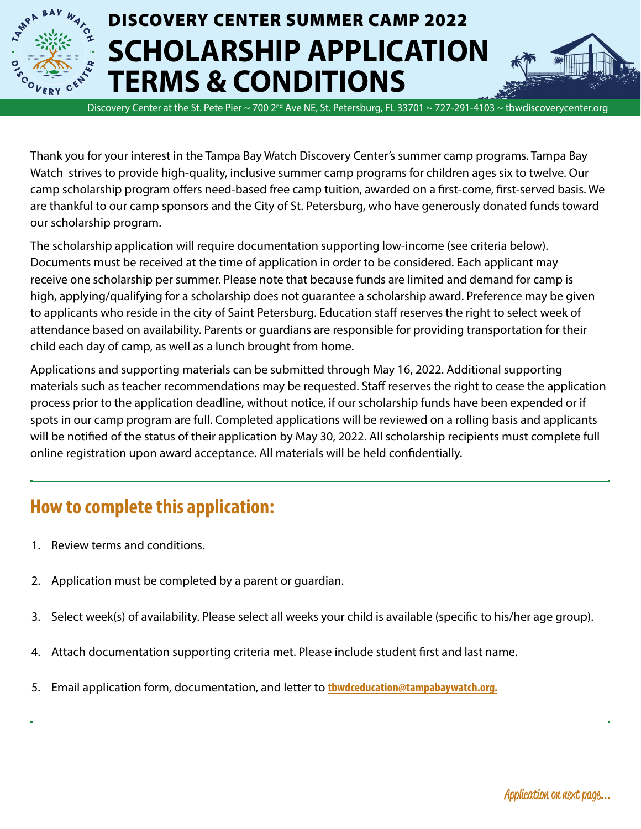

# DISCOVERY CENTER SUMMER CAMP 2022 **SCHOLARSHIP APPLICATION TERMS & CONDITIONS**



Thank you for your interest in the Tampa Bay Watch Discovery Center's summer camp programs. Tampa Bay Watch strives to provide high-quality, inclusive summer camp programs for children ages six to twelve. Our camp scholarship program offers need-based free camp tuition, awarded on a first-come, first-served basis. We are thankful to our camp sponsors and the City of St. Petersburg, who have generously donated funds toward our scholarship program.

The scholarship application will require documentation supporting low-income (see criteria below). Documents must be received at the time of application in order to be considered. Each applicant may receive one scholarship per summer. Please note that because funds are limited and demand for camp is high, applying/qualifying for a scholarship does not guarantee a scholarship award. Preference may be given to applicants who reside in the city of Saint Petersburg. Education staff reserves the right to select week of attendance based on availability. Parents or guardians are responsible for providing transportation for their child each day of camp, as well as a lunch brought from home.

Applications and supporting materials can be submitted through May 16, 2022. Additional supporting materials such as teacher recommendations may be requested. Staff reserves the right to cease the application process prior to the application deadline, without notice, if our scholarship funds have been expended or if spots in our camp program are full. Completed applications will be reviewed on a rolling basis and applicants will be notified of the status of their application by May 30, 2022. All scholarship recipients must complete full online registration upon award acceptance. All materials will be held confidentially.

### **How to complete this application:**

- 1. Review terms and conditions.
- 2. Application must be completed by a parent or guardian.
- 3. Select week(s) of availability. Please select all weeks your child is available (specific to his/her age group).
- 4. Attach documentation supporting criteria met. Please include student first and last name.
- 5. Email application form, documentation, and letter to **[tbwdceducation@tampabaywatch.org.](mailto:tbwdceducation%40tampabaywatch.org.?subject=)**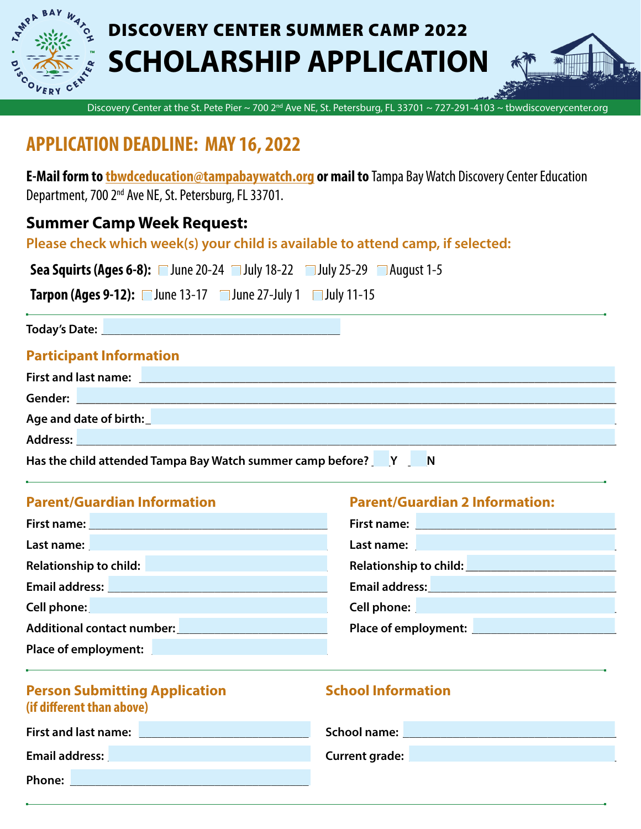

# DISCOVERY CENTER SUMMER CAMP 2022 **SCHOLARSHIP APPLICATION**



Discovery Center at the St. Pete Pier ~ 700 2<sup>nd</sup> Ave NE, St. Petersburg, FL 33701 ~ 727-291-4103 ~ tbwdiscoverycenter.org

### **APPLICATION DEADLINE: MAY 16, 2022**

**E-Mail form to [tbwdceducation@tampabaywatch.org](mailto:tbwdceducation%40tampabaywatch.org?subject=) or mail to** Tampa Bay Watch Discovery Center Education Department, 700 2nd Ave NE, St. Petersburg, FL 33701.

### **Summer Camp Week Request:**

**Please check which week(s) your child is available to attend camp, if selected:** 

| <b>Sea Squirts (Ages 6-8):</b> $\Box$ June 20-24 $\Box$ July 18-22 $\Box$ July 25-29 $\Box$ August 1-5 |  |  |  |  |
|--------------------------------------------------------------------------------------------------------|--|--|--|--|
|--------------------------------------------------------------------------------------------------------|--|--|--|--|

**Tarpon (Ages 9-12):** ■ June 13-17 ■ June 27-July 1 ■ July 11-15

**Today's Date: \_\_\_\_\_\_\_\_\_\_\_\_\_\_\_\_\_\_\_\_\_\_\_\_\_\_\_\_\_\_\_\_\_\_\_\_\_\_**

#### **Participant Information**

| First and last name: <u>December 2008 and the set of the set of the set of the set of the set of the set of the set of the set of the set of the set of the set of the set of the set of the set of the set of the set of the se</u> |
|--------------------------------------------------------------------------------------------------------------------------------------------------------------------------------------------------------------------------------------|
|                                                                                                                                                                                                                                      |
|                                                                                                                                                                                                                                      |
|                                                                                                                                                                                                                                      |
| Has the child attended Tampa Bay Watch summer camp before? Party Party<br><b>N</b>                                                                                                                                                   |

#### **Parent/Guardian Information Parent/Guardian 2 Information:**

| First name: Note and the set of the set of the set of the set of the set of the set of the set of the set of the set of the set of the set of the set of the set of the set of the set of the set of the set of the set of the                 | First name: Name and Separate and Separate and Separate and Separate and Separate and Separate and Separate and Separate and Separate and Separate and Separate and Separate and Separate and Separate and Separate and Separa       |
|------------------------------------------------------------------------------------------------------------------------------------------------------------------------------------------------------------------------------------------------|--------------------------------------------------------------------------------------------------------------------------------------------------------------------------------------------------------------------------------------|
| Last name: <u>New York: New York: New York: New York: New York: New York: New York: New York: New York: New York: N</u>                                                                                                                        | Last name: <u>New York and State and State and State and State and State and State and State and State and State and State and State and State and State and State and State and State and State and State and State and State a</u> |
| Relationship to child:<br><u> Maria Alemania de Santa Araba de A</u>                                                                                                                                                                           | Relationship to child: New York President President President President President President President President                                                                                                                      |
| Email address: Universe President Press, 2014                                                                                                                                                                                                  | Email address:<br><u>Email address:</u>                                                                                                                                                                                              |
| Cell phone:<br>a di sebagai kecamatan di sebagai kecamatan dari sebagai kecamatan dari sebagai kecamatan dan bersama dan bers<br>Kecamatan dalam kecamatan dan bersama dalam kecamatan dan bersama dan bersama dan bersama dalam kecamatan dan | <b>Cell phone: Cell phone: Cell and Cell and Cell and Cell and Cell and Cell and Cell and Cell and Cell and Cell</b>                                                                                                                 |
| <b>Additional contact number:</b> Additional contact number:                                                                                                                                                                                   | Place of employment: <u>New York and State and State and State and State and State and State and State and State and State and State and State and State and State and State and State and State and State and State and State a</u> |
| Place of employment:                                                                                                                                                                                                                           |                                                                                                                                                                                                                                      |

#### **Person Submitting Application 6 and School Information (if different than above)**

| First and last name: | School name:          |
|----------------------|-----------------------|
| Email address:       | <b>Current grade:</b> |
| Phone:               |                       |